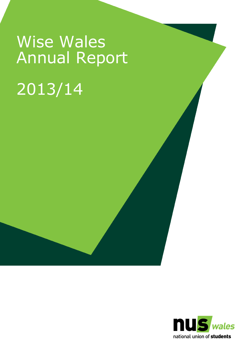# Wise Wales Annual Report 2013/14

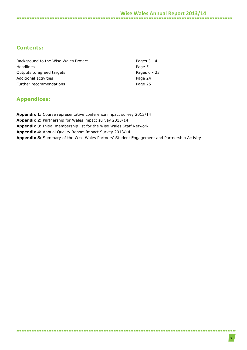### **Contents:**

| Background to the Wise Wales Project | Pages $3 - 4$ |
|--------------------------------------|---------------|
| <b>Headlines</b>                     | Page 5        |
| Outputs to agreed targets            | Pages 6 - 23  |
| Additional activities                | Page 24       |
| Further recommendations              | Page 25       |

### **Appendices:**

**Appendix 1:** Course representative conference impact survey 2013/14 **Appendix 2:** Partnership for Wales impact survey 2013/14 **Appendix 3:** Initial membership list for the Wise Wales Staff Network **Appendix 4:** Annual Quality Report Impact Survey 2013/14 **Appendix 5:** Summary of the Wise Wales Partners' Student Engagement and Partnership Activity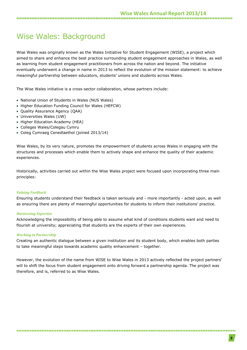### Wise Wales: Background

Wise Wales was originally known as the Wales Initiative for Student Engagement (WISE), a project which aimed to share and enhance the best practice surrounding student engagement approaches in Wales, as well as learning from student engagement practitioners from across the nation and beyond. The initiative eventually underwent a change in name in 2013 to reflect the evolution of the mission statement: to achieve meaningful partnership between educators, students' unions and students across Wales.

The Wise Wales initiative is a cross-sector collaboration, whose partners include:

- National Union of Students in Wales (NUS Wales)
- Higher Education Funding Council for Wales (HEFCW)
- Quality Assurance Agency (QAA)
- Universities Wales (UW)
- Higher Education Academy (HEA)
- Colleges Wales/Colegau Cymru
- Coleg Cymraeg Cenedlaethol (joined 2013/14)

Wise Wales, by its very nature, promotes the empowerment of students across Wales in engaging with the structures and processes which enable them to actively shape and enhance the quality of their academic experiences.

Historically, activities carried out within the Wise Wales project were focused upon incorporating three main principles:

### *Valuing Feedback*

Ensuring students understand their feedback is taken seriously and - more importantly - acted upon, as well as ensuring there are plenty of meaningful opportunities for students to inform their institutions' practice.

### *Harnessing Expertise*

Acknowledging the impossibility of being able to assume what kind of conditions students want and need to flourish at university; appreciating that students are the experts of their own experiences.

### *Working in Partnership*

Creating an authentic dialogue between a given institution and its student body, which enables both parties to take meaningful steps towards academic quality enhancement – together.

However, the evolution of the name from WISE to Wise Wales in 2013 actively reflected the project partners' will to shift the focus from student engagement onto driving forward a partnership agenda. The project was therefore, and is, referred to as Wise Wales.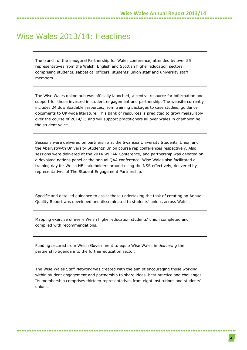### Wise Wales 2013/14: Headlines

The launch of the inaugural Partnership for Wales conference, attended by over 55 representatives from the Welsh, English and Scottish higher education sectors, comprising students, sabbatical officers, students' union staff and university staff members.

The Wise Wales online hub was officially launched; a central resource for information and support for those invested in student engagement and partnership. The website currently includes 24 downloadable resources, from training packages to case studies, guidance documents to UK-wide literature. This bank of resources is predicted to grow measurably over the course of 2014/15 and will support practitioners all over Wales in championing the student voice.

Sessions were delivered on partnership at the Swansea University Students' Union and the Aberystwyth University Students' Union course rep conferences respectively. Also, sessions were delivered at the 2014 WIDAR Conference, and partnership was debated on a devolved nations panel at the annual QAA conference. Wise Wales also facilitated a training day for Welsh HE stakeholders around using the NSS effectively, delivered by representatives of The Student Engagement Partnership.

Specific and detailed guidance to assist those undertaking the task of creating an Annual Quality Report was developed and disseminated to students' unions across Wales.

Mapping exercise of every Welsh higher education students' union completed and compiled with recommendations.

Funding secured from Welsh Government to equip Wise Wales in *delivering* the partnership agenda into the further education sector.

The Wise Wales Staff Network was created with the aim of encouraging those working within student engagement and partnership to share ideas, best practice and challenges. Its membership comprises thirteen representatives from eight institutions and students' unions.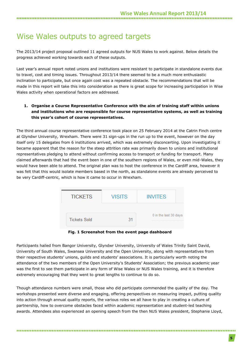### Wise Wales outputs to agreed targets

The 2013/14 project proposal outlined 11 agreed outputs for NUS Wales to work against. Below details the progress achieved working towards each of these outputs.

Last year's annual report noted unions and institutions were resistant to participate in standalone events due to travel, cost and timing issues. Throughout 2013/14 there seemed to be a much more enthusiastic inclination to participate, but once again cost was a repeated obstacle. The recommendations that will be made in this report will take this into consideration as there is great scope for increasing participation in Wise Wales activity when operational factors are addressed.

### **1. Organise a Course Representative Conference with the aim of training staff within unions and institutions who are responsible for course representative systems, as well as training this year's cohort of course representatives.**

The third annual course representative conference took place on 25 February 2014 at the Catrin Finch centre at Glyndwr University, Wrexham. There were 31 sign-ups in the run up to the event, however on the day itself only 15 delegates from 6 institutions arrived, which was extremely disconcerting. Upon investigating it became apparent that the reason for the steep attrition rate was primarily down to unions and institutional representatives pledging to attend without confirming access to transport or funding for transport. Many claimed afterwards that had the event been in one of the southern regions of Wales, or even mid-Wales, they would have been able to attend. The original plan was to host the conference in the Cardiff area, however it was felt that this would isolate members based in the north, as standalone events are already perceived to be very Cardiff-centric, which is how it came to occur in Wrexham.



**Fig. 1 Screenshot from the event page dashboard**

Participants hailed from Bangor University, Glyndwr University, University of Wales Trinity Saint David, University of South Wales, Swansea University and the Open University, along with representatives from their respective students' unions, guilds and students' associations. It is particularly worth noting the attendance of the two members of the Open University's Students' Association; the previous academic year was the first to see them participate in any form of Wise Wales or NUS Wales training, and it is therefore extremely encouraging that they went to great lengths to continue to do so.

Though attendance numbers were small, those who did participate commended the quality of the day. The workshops presented were diverse and engaging, offering perspectives on measuring impact, putting quality into action through annual quality reports, the various roles we all have to play in creating a culture of partnership, how to overcome obstacles faced within academic representation and student-led teaching awards. Attendees also experienced an opening speech from the then NUS Wales president, Stephanie Lloyd,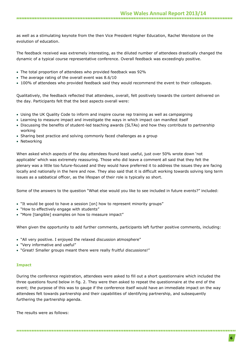as well as a stimulating keynote from the then Vice President Higher Education, Rachel Wenstone on the evolution of education.

The feedback received was extremely interesting, as the diluted number of attendees drastically changed the dynamic of a typical course representative conference. Overall feedback was exceedingly positive.

- The total proportion of attendees who provided feedback was 92%
- The average rating of the overall event was 8.6/10
- 100% of attendees who provided feedback said they would recommend the event to their colleagues.

Qualitatively, the feedback reflected that attendees, overall, felt positively towards the content delivered on the day. Participants felt that the best aspects overall were:

- Using the UK Quality Code to inform and inspire course rep training as well as campaigning
- Learning to measure impact and investigate the ways in which impact can manifest itself
- Discussing the benefits of student-led teaching awards (SLTAs) and how they contribute to partnership working
- Sharing best practice and solving commonly faced challenges as a group
- Networking

When asked which aspects of the day attendees found least useful, just over 50% wrote down 'not applicable' which was extremely reassuring. Those who did leave a comment all said that they felt the plenary was a little too future-focused and they would have preferred it to address the issues they are facing locally and nationally in the here and now. They also said that it is difficult working towards solving long term issues as a sabbatical officer, as the lifespan of their role is typically so short.

Some of the answers to the question "What else would you like to see included in future events?" included:

- "It would be good to have a session [on] how to represent minority groups"
- "How to effectively engage with students"
- "More [tangible] examples on how to measure impact"

When given the opportunity to add further comments, participants left further positive comments, including:

- "All very positive. I enjoyed the relaxed discussion atmosphere"
- "Very informative and useful"
- "Great! Smaller groups meant there were really fruitful discussions!"

### **Impact**

During the conference registration, attendees were asked to fill out a short questionnaire which included the three questions found below in fig. 2. They were then asked to repeat the questionnaire at the end of the event; the purpose of this was to gauge if the conference itself would have an immediate impact on the way attendees felt towards partnership and their capabilities of identifying partnership, and subsequently furthering the partnership agenda.

The results were as follows: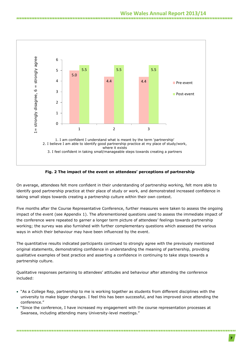

**Fig. 2 The impact of the event on attendees' perceptions of partnership**

On average, attendees felt more confident in their understanding of partnership working, felt more able to identify good partnership practice at their place of study or work, and demonstrated increased confidence in taking small steps towards creating a partnership culture within their own context.

Five months after the Course Representative Conference, further measures were taken to assess the ongoing impact of the event (see Appendix 1). The aforementioned questions used to assess the immediate impact of the conference were repeated to garner a longer term picture of attendees' feelings towards partnership working; the survey was also furnished with further complementary questions which assessed the various ways in which their behaviour may have been influenced by the event.

The quantitative results indicated participants continued to strongly agree with the previously mentioned original statements, demonstrating confidence in understanding the meaning of partnership, providing qualitative examples of best practice and asserting a confidence in continuing to take steps towards a partnership culture.

Qualitative responses pertaining to attendees' attitudes and behaviour after attending the conference included:

 "As a College Rep, partnership to me is working together as students from different disciplines with the university to make bigger changes. I feel this has been successful, and has improved since attending the conference."

 "Since the conference, I have increased my engagement with the course representation processes at Swansea, including attending many University-level meetings."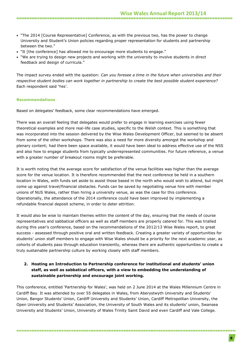- "The 2014 [Course Representative] Conference, as with the previous two, has the power to change University and Student's Union policies regarding proper representation for students and partnership between the two."
- "It [the conference] has allowed me to encourage more students to engage."
- "We are trying to design new projects and working with the university to involve students in direct feedback and design of curricula."

The impact survey ended with the question: *Can you foresee a time in the future when universities and their respective student bodies can work together in partnership to create the best possible student experience?*  Each respondent said 'Yes'.

### **Recommendations**

Based on delegates' feedback, some clear recommendations have emerged.

There was an overall feeling that delegates would prefer to engage in learning exercises using fewer theoretical examples and more real-life case studies, specific to the Welsh context. This is something that was incorporated into the session delivered by the Wise Wales Development Officer, but seemed to be absent from some of the other workshops. There was also a need for more diversity amongst the workshop and plenary content; had there been space available, it would have been ideal to address effective use of the NSS and also how to engage students from typically underrepresented communities. For future reference, a venue with a greater number of breakout rooms might be preferable.

It is worth noting that the average score for satisfaction of the venue facilities was higher than the average score for the venue location. It is therefore recommended that the next conference be held in a southern location in Wales, with funds set aside to assist those based in the north who would wish to attend, but might come up against travel/financial obstacles. Funds can be saved by negotiating venue hire with member unions of NUS Wales, rather than hiring a university venue, as was the case for this conference. Operationally, the attendance of the 2014 conference could have been improved by implementing a refundable financial deposit scheme, in order to deter attrition.

It would also be wise to maintain themes within the content of the day, ensuring that the needs of course representatives and sabbatical officers as well as staff members are properly catered for. This was trialled during this year's conference, based on the recommendations of the 2012/13 Wise Wales report, to great success - assessed through positive oral and written feedback. Creating a greater variety of opportunities for students' union staff members to engage with Wise Wales should be a priority for the next academic year, as cohorts of students pass through education transiently, whereas there are authentic opportunities to create a truly sustainable partnership culture by working closely with staff members.

### **2. Hosting an Introduction to Partnership conference for institutional and students' union staff, as well as sabbatical officers, with a view to embedding the understanding of sustainable partnership and encourage joint working.**

This conference, entitled 'Partnership for Wales', was held on 2 June 2014 at the Wales Millennium Centre in Cardiff Bay. It was attended by over 55 delegates in Wales, from Aberystwyth University and Students' Union, Bangor Students' Union, Cardiff University and Students' Union, Cardiff Metropolitan University, the Open University and Students' Association, the University of South Wales and its students' union, Swansea University and Students' Union, University of Wales Trinity Saint David and even Cardiff and Vale College.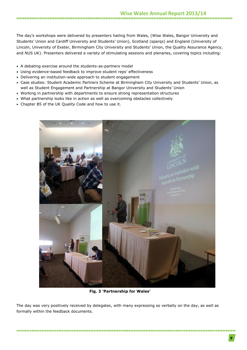The day's workshops were delivered by presenters hailing from Wales, (Wise Wales, Bangor University and Students' Union and Cardiff University and Students' Union), Scotland (sparqs) and England (University of Lincoln, University of Exeter, Birmingham City University and Students' Union, the Quality Assurance Agency, and NUS UK). Presenters delivered a variety of stimulating sessions and plenaries, covering topics including:

- A debating exercise around the students-as-partners model
- Using evidence-based feedback to improve student reps' effectiveness
- Delivering an institution-wide approach to student engagement
- Case studies: Student Academic Partners Scheme at Birmingham City University and Students' Union, as well as Student Engagement and Partnership at Bangor University and Students' Union
- Working in partnership with departments to ensure strong representation structures
- What partnership looks like in action as well as overcoming obstacles collectively
- Chapter B5 of the UK Quality Code and how to use it.



**Fig. 3 'Partnership for Wales'**

The day was very positively received by delegates, with many expressing so verbally on the day, as well as formally within the feedback documents.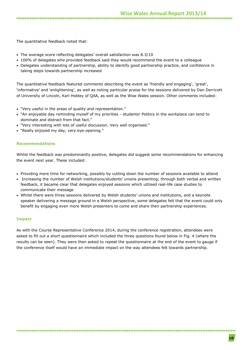The quantitative feedback noted that:

- The average score reflecting delegates' overall satisfaction was 8.3/10
- 100% of delegates who provided feedback said they would recommend the event to a colleague
- Delegates understanding of partnership, ability to identify good partnership practice, and confidence in taking steps towards partnership increased

The quantitative feedback featured comments describing the event as 'friendly and engaging', 'great', 'informative' and 'enlightening', as well as noting particular praise for the sessions delivered by Dan Derricott of University of Lincoln, Karl Hobley of QAA, as well as the Wise Wales session. Other comments included:

- "Very useful in the areas of quality and representation."
- "An enjoyable day reminding myself of my priorities students! Politics in the workplace can tend to dominate and distract from that fact."
- "Very interesting with lots of useful discussion. Very well organised."
- "Really enjoyed my day, very eye-opening."

### **Recommendations**

Whilst the feedback was predominantly positive, delegates did suggest some recommendations for enhancing the event next year. These included:

- Providing more time for networking, possibly by cutting down the number of sessions available to attend
- Increasing the number of Welsh institutions/students' unions presenting; through both verbal and written feedback, it became clear that delegates enjoyed sessions which utilised real-life case studies to communicate their message
- Whilst there were three sessions delivered by Welsh students' unions and institutions, and a keynote speaker delivering a message ground in a Welsh perspective, some delegates felt that the event could only benefit by engaging even more Welsh presenters to come and share their partnership experiences.

### **Impact**

As with the Course Representative Conference 2014, during the conference registration, attendees were asked to fill out a short questionnaire which included the three questions found below in Fig. 4 (where the results can be seen). They were then asked to repeat the questionnaire at the end of the event to gauge if the conference itself would have an immediate impact on the way attendees felt towards partnership.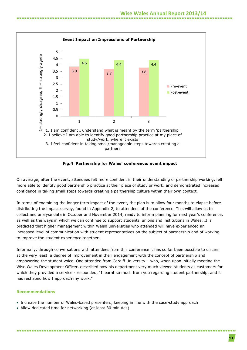

**Fig.4 'Partnership for Wales' conference: event impact**

On average, after the event, attendees felt more confident in their understanding of partnership working, felt more able to identify good partnership practice at their place of study or work, and demonstrated increased confidence in taking small steps towards creating a partnership culture within their own context.

In terms of examining the longer term impact of the event, the plan is to allow four months to elapse before distributing the impact survey, found in Appendix 2, to attendees of the conference. This will allow us to collect and analyse data in October and November 2014, ready to inform planning for next year's conference, as well as the ways in which we can continue to support students' unions and institutions in Wales. It is predicted that higher management within Welsh universities who attended will have experienced an increased level of communication with student representatives on the subject of partnership and of working to improve the student experience together.

Informally, through conversations with attendees from this conference it has so far been possible to discern at the very least, a degree of improvement in their engagement with the concept of partnership and empowering the student voice. One attendee from Cardiff University – who, when upon initially meeting the Wise Wales Development Officer, described how his department very much viewed students as customers for which they provided a service - responded, "I learnt so much from you regarding student partnership, and it has reshaped how I approach my work."

### **Recommendations**

- Increase the number of Wales-based presenters, keeping in line with the case-study approach
- Allow dedicated time for networking (at least 30 minutes)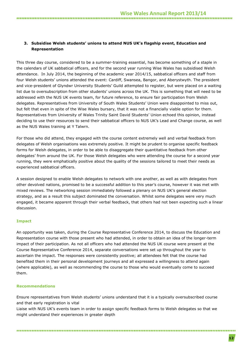### **3. Subsidise Welsh students' unions to attend NUS UK's flagship event, Education and Representation**

This three day course, considered to be a summer-training essential, has become something of a staple in the calendars of UK sabbatical officers, and for the second year running Wise Wales has subsidised Welsh attendance. In July 2014, the beginning of the academic year 2014/15, sabbatical officers and staff from four Welsh students' unions attended the event: Cardiff, Swansea, Bangor, and Aberystwyth. The president and vice-president of Glyndwr University Students' Guild attempted to register, but were placed on a waiting list due to oversubscription from other students' unions across the UK. This is something that will need to be addressed with the NUS UK events team, for future reference, to ensure fair participation from Welsh delegates. Representatives from University of South Wales Students' Union were disappointed to miss out, but felt that even in spite of the Wise Wales bursary, that it was not a financially viable option for them. Representatives from University of Wales Trinity Saint David Students' Union echoed this opinion, instead deciding to use their resources to send their sabbatical officers to NUS UK's Lead and Change course, as well as the NUS Wales training at Y Talwrn.

For those who did attend, they engaged with the course content extremely well and verbal feedback from delegates of Welsh organisations was extremely positive. It might be prudent to organise specific feedback forms for Welsh delegates, in order to be able to disaggregate their quantitative feedback from other delegates' from around the UK. For those Welsh delegates who were attending the course for a second year running, they were emphatically positive about the quality of the sessions tailored to meet their needs as experienced sabbatical officers.

A session designed to enable Welsh delegates to network with one another, as well as with delegates from other devolved nations, promised to be a successful addition to this year's course, however it was met with mixed reviews. The networking session immediately followed a plenary on NUS UK's general election strategy, and as a result this subject dominated the conversation. Whilst some delegates were very much engaged, it became apparent through their verbal feedback, that others had not been expecting such a linear discussion.

### **Impact**

An opportunity was taken, during the Course Representative Conference 2014, to discuss the Education and Representation course with those present who had attended, in order to obtain an idea of the longer-term impact of their participation. As not all officers who had attended the NUS UK course were present at the Course Representative Conference 2014, separate conversations were set up throughout the year to ascertain the impact. The responses were consistently positive; all attendees felt that the course had benefited them in their personal development journeys and all expressed a willingness to attend again (where applicable), as well as recommending the course to those who would eventually come to succeed them.

### **Recommendations**

Ensure representatives from Welsh students' unions understand that it is a typically oversubscribed course and that early registration is vital

Liaise with NUS UK's events team in order to assign specific feedback forms to Welsh delegates so that we might understand their experiences in greater depth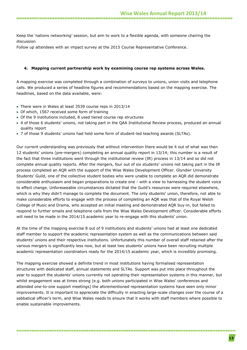Keep the 'nations networking' session, but aim to work to a flexible agenda, with someone chairing the discussion

Follow up attendees with an impact survey at the 2015 Course Representative Conference.

### **4. Mapping current partnership work by examining course rep systems across Wales.**

A mapping exercise was completed through a combination of surveys to unions, union visits and telephone calls. We produced a series of headline figures and recommendations based on the mapping exercise. The headlines, based on the data available, were:

- There were in Wales at least 3539 course reps in 2013/14
- Of which, 1567 received some form of training
- Of the 9 institutions included, 8 used tiered course rep structures
- 4 of those 6 students' unions, not taking part in the QAA Institutional Review process, produced an annual quality report
- 7 of those 9 students' unions had held some form of student-led teaching awards (SLTAs).

Our current understanding was previously that without intervention there would be 4 out of what was then 12 students' unions (pre-mergers) completing an annual quality report in 13/14; this number is a result of the fact that three institutions went through the institutional review (IR) process in 13/14 and so did not complete annual quality reports. After the mergers, four out of six students' unions not taking part in the IR process completed an AQR with the support of the Wise Wales Development Officer. Glyndwr University Students' Guild, one of the collective student bodies who were unable to complete an AQR did demonstrate considerable enthusiasm and began preparations to create one - with a view to harnessing the student voice to effect change. Unforeseeable circumstances dictated that the Guild's resources were required elsewhere, which is why they didn't manage to complete the document. The only students' union, therefore, not able to make considerable efforts to engage with the process of completing an AQR was that of the Royal Welsh College of Music and Drama, who accepted an initial meeting and demonstrated AQR buy-in, but failed to respond to further emails and telephone calls from the Wise Wales Development officer. Considerable efforts will need to be made in the 2014/15 academic year to re-engage with this students' union.

At the time of the mapping exercise 8 out of 9 institutions and students' unions had at least one dedicated staff member to support the academic representation system as well as the communications between said students' unions and their respective institutions. Unfortunately this number of overall staff retained after the various mergers is significantly less now, but at least two students' unions have been recruiting multiple academic representation coordinators ready for the 2014/15 academic year, which is incredibly promising.

The mapping exercise showed a definite trend in most institutions having formalised representation structures with dedicated staff, annual statements and SLTAs. Support was put into place throughout the year to support the students' unions currently not operating their representation systems in this manner, but whilst engagement was at times strong (e.g. both unions participated in Wise Wales' conferences and attended one-to-one support meetings) the aforementioned representation systems have seen only minor improvements. It is important to appreciate the difficulty in enacting large-scale changes over the course of a sabbatical officer's term, and Wise Wales needs to ensure that it works with staff members where possible to enable sustainable improvements.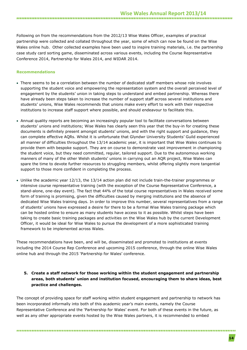Following on from the recommendations from the 2012/13 Wise Wales Officer, examples of practical partnership were collected and collated throughout the year, some of which can now be found on the Wise Wales online hub. Other collected examples have been used to inspire training materials, i.e. the partnership case study card sorting game, disseminated across various events, including the Course Representative Conference 2014, Partnership for Wales 2014, and WIDAR 2014.

### **Recommendations**

- There seems to be a correlation between the number of dedicated staff members whose role involves supporting the student voice and empowering the representation system and the overall perceived level of engagement by the students' union in taking steps to understand and embed partnership. Whereas there have already been steps taken to increase the number of support staff across several institutions and students' unions, Wise Wales recommends that unions make every effort to work with their respective institutions to increase staff support where possible, and should endeavour to facilitate this.
- Annual quality reports are becoming an increasingly popular tool to facilitate conversations between students' unions and institutions; Wise Wales has clearly seen this year that the buy-in for creating these documents is definitely present amongst students' unions, and with the right support and guidance, they can complete effective AQRs. Whilst it is unfortunate that Glyndwr University Students' Guild experienced all manner of difficulties throughout the 13/14 academic year, it is important that Wise Wales continues to provide them with bespoke support. They are on course to demonstrate vast improvement in championing the student voice, but they need committed, regular, tailored support. Due to the autonomous working manners of many of the other Welsh students' unions in carrying out an AQR project, Wise Wales can spare the time to devote further resources to struggling members, whilst offering slightly more tangential support to those more confident in completing the process.
- Unlike the academic year 12/13, the 13/14 action plan did not include train-the-trainer programmes or intensive course representative training (with the exception of the Course Representative Conference, a stand-alone, one-day event). The fact that 44% of the total course representatives in Wales received some form of training is promising, given the difficulties caused by merging institutions and the absence of dedicated Wise Wales training days. In order to improve this number, several representatives from a range of students' unions have expressed a desire for there to be a formal Wise Wales training package which can be hosted online to ensure as many students have access to it as possible. Whilst steps have been taking to create basic training packages and activities on the Wise Wales hub by the current Development Officer, it would be ideal for Wise Wales to pursue the development of a more sophisticated training framework to be implemented across Wales.

These recommendations have been, and will be, disseminated and promoted to institutions at events including the 2014 Course Rep Conference and upcoming 2015 conference, through the online Wise Wales online hub and through the 2015 'Partnership for Wales' conference.

### **5. Create a staff network for those working within the student engagement and partnership areas, both students' union and institution focused, encouraging them to share ideas, best practice and challenges.**

The concept of providing space for staff working within student engagement and partnership to network has been incorporated informally into both of this academic year's main events, namely the Course Representative Conference and the 'Partnership for Wales' event. For both of these events in the future, as well as any other appropriate events hosted by the Wise Wales partners, it is recommended to embed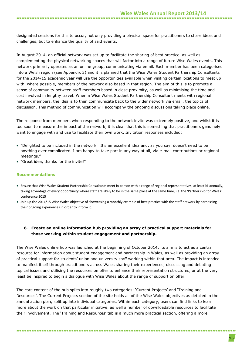designated sessions for this to occur, not only providing a physical space for practitioners to share ideas and challenges, but to enhance the quality of said events.

In August 2014, an official network was set up to facilitate the sharing of best practice, as well as complementing the physical networking spaces that will factor into a range of future Wise Wales events. This network primarily operates as an online group, communicating via email. Each member has been categorised into a Welsh region (see Appendix 3) and it is planned that the Wise Wales Student Partnership Consultants for the 2014/15 academic year will use the opportunities available when visiting certain locations to meet up with, where possible, members of the network also based in that region. The aim of this is to promote a sense of community between staff members based in close proximity, as well as minimising the time and cost involved in lengthy travel. When a Wise Wales Student Partnership Consultant meets with regional network members, the idea is to then communicate back to the wider network via email, the topics of discussion. This method of communication will accompany the ongoing discussions taking place online.

The response from members when responding to the network invite was extremely positive, and whilst it is too soon to measure the impact of the network, it is clear that this is something that practitioners genuinely want to engage with and use to facilitate their own work. Invitation responses included:

- "Delighted to be included in the network. It's an excellent idea and, as you say, doesn't need to be anything over complicated. I am happy to take part in any way at all, via e-mail contributions or regional meetings."
- "Great idea, thanks for the invite!"

### **Recommendations**

- Ensure that Wise Wales Student Partnership Consultants meet in person with a range of regional representatives, at least bi-annually, taking advantage of every opportunity where staff are likely to be in the same place at the same time, i.e. the 'Partnership for Wales' conference 2015
- Join up the 2014/15 Wise Wales objective of showcasing a monthly example of best practice with the staff network by harnessing their ongoing experiences in order to inform it.

### **6. Create an online information hub providing an array of practical support materials for those working within student engagement and partnership.**

The Wise Wales online hub was launched at the beginning of October 2014; its aim is to act as a central resource for information about student engagement and partnership in Wales, as well as providing an array of practical support for students' union and university staff working within that area. The impact is intended to manifest itself through practitioners across Wales sharing their experiences, discussing and debating topical issues and utilising the resources on offer to enhance their representation structures, or at the very least be inspired to begin a dialogue with Wise Wales about the range of support on offer.

The core content of the hub splits into roughly two categories: 'Current Projects' and 'Training and Resources'. The Current Projects section of the site holds all of the Wise Wales objectives as detailed in the annual action plan, split up into individual categories. Within each category, users can find links to learn more about the work on that particular initiative, as well a number of downloadable resources to facilitate their involvement. The 'Training and Resources' tab is a much more practical section, offering a more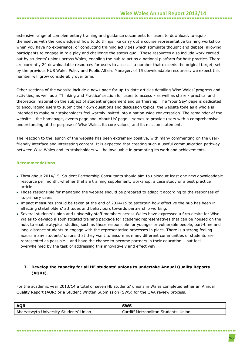### **Wise Wales Annual Report 2013/14**

extensive range of complementary training and guidance documents for users to download, to equip themselves with the knowledge of how to do things like carry out a course representative training workshop when you have no experience, or conducting training activities which stimulate thought and debate, allowing participants to engage in role play and challenge the status quo. These resources also include work carried out by students' unions across Wales, enabling the hub to act as a national platform for best practice. There are currently 24 downloadable resources for users to access - a number that exceeds the original target, set by the previous NUS Wales Policy and Public Affairs Manager, of 15 downloadable resources; we expect this number will grow considerably over time.

Other sections of the website include a news page for up-to-date articles detailing Wise Wales' progress and activities, as well as a 'Thinking and Practice' section for users to access - as well as share - practical and theoretical material on the subject of student engagement and partnership. The 'Your Say' page is dedicated to encouraging users to submit their own questions and discussion topics; the website tone as a whole is intended to make our stakeholders feel warmly invited into a nation-wide conversation. The remainder of the website – the homepage, events page and 'About Us' page – serves to provide users with a comprehensive understanding of the purpose of Wise Wales, its core values, and its mission statement.

The reaction to the launch of the website has been extremely positive, with many commenting on the userfriendly interface and interesting content. It is expected that creating such a useful communication pathway between Wise Wales and its stakeholders will be invaluable in promoting its work and achievements.

### **Recommendations**

- Throughout 2014/15, Student Partnership Consultants should aim to upload at least one new downloadable resource per month, whether that's a training supplement, workshop, a case study or a best practice article.
- Those responsible for managing the website should be prepared to adapt it according to the responses of its primary users.
- Impact measures should be taken at the end of 2014/15 to ascertain how effective the hub has been in affecting stakeholders' attitudes and behaviours towards partnership working.
- Several students' union and university staff members across Wales have expressed a firm desire for Wise Wales to develop a sophisticated training package for academic representatives that can be housed on the hub, to enable atypical studies, such as those responsible for younger or vulnerable people, part-time and long-distance students to engage with the representative processes in place. There is a strong feeling across many students' unions that they want to ensure as many different communities of students are represented as possible – and have the chance to become partners in their education – but feel overwhelmed by the task of addressing this innovatively and effectively.

### **7. Develop the capacity for all HE students' unions to undertake Annual Quality Reports (AQRs).**

For the academic year 2013/14 a total of seven HE students' unions in Wales completed either an Annual Quality Report (AQR) or a Student Written Submission (SWS) for the QAA review process.

| <b>AOR</b>                             | <b>SWS</b>                           |
|----------------------------------------|--------------------------------------|
| Aberystwyth University Students' Union | Cardiff Metropolitan Students' Union |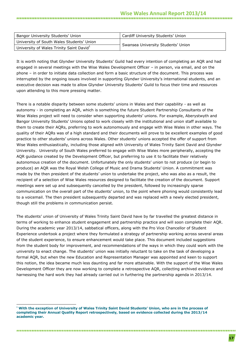### **Wise Wales Annual Report 2013/14**

| Bangor University Students' Union                    | Cardiff University Students' Union |  |  |
|------------------------------------------------------|------------------------------------|--|--|
| University of South Wales Students' Union            |                                    |  |  |
| University of Wales Trinity Saint David <sup>1</sup> | Swansea University Students' Union |  |  |

It is worth noting that Glyndwr University Students' Guild had every intention of completing an AQR and had engaged in several meetings with the Wise Wales Development Officer – in person, via email, and on the phone – in order to initiate data collection and form a basic structure of the document. This process was interrupted by the ongoing issues involved in supporting Glyndwr University's international students, and an executive decision was made to allow Glyndwr University Students' Guild to focus their time and resources upon attending to this more pressing matter.

There is a notable disparity between some students' unions in Wales and their capability - as well as autonomy - in completing an AQR, which is something the future Student Partnership Consultants of the Wise Wales project will need to consider when supporting students' unions. For example, Aberystwyth and Bangor University Students' Unions opted to work closely with the institutional and union staff available to them to create their AQRs, preferring to work autonomously and engage with Wise Wales in other ways. The quality of their AQRs was of a high standard and their documents will prove to be excellent examples of good practice to other students' unions across Wales. Other students' unions accepted the offer of support from Wise Wales enthusiastically, including those aligned with University of Wales Trinity Saint David and Glyndwr University. University of South Wales preferred to engage with Wise Wales more peripherally, accepting the AQR guidance created by the Development Officer, but preferring to use it to facilitate their relatively autonomous creation of the document. Unfortunately the only students' union to not produce (or begin to produce) an AQR was the Royal Welsh College of Music and Drama Students' Union. A commitment was made by the then president of the students' union to undertake the project, who was also as a result, the recipient of a selection of Wise Wales resources designed to facilitate the creation of the document. Support meetings were set up and subsequently cancelled by the president, followed by increasingly sparse communication on the overall part of the students' union, to the point where phoning would consistently lead to a voicemail. The then president subsequently departed and was replaced with a newly elected president, though still the problems in communication persist.

The students' union of University of Wales Trinity Saint David have by far travelled the greatest distance in terms of working to enhance student engagement and partnership practice and will soon complete their AQR. During the academic year 2013/14, sabbatical officers, along with the Pro Vice Chancellor of Student Experience undertook a project where they formulated a strategy of partnership working across several areas of the student experience, to ensure enhancement would take place. This document included suggestions from the student body for improvement, and recommendations of the ways in which they could work with the university to enact change. The students' union was initially reluctant to take on the task of developing a formal AQR, but when the new Education and Representation Manager was appointed and keen to support this notion, the idea became much less daunting and far more attainable. With the support of the Wise Wales Development Officer they are now working to complete a retrospective AQR, collecting archived evidence and harnessing the hard work they had already carried out in furthering the partnership agenda in 2013/14.

<sup>-</sup>**<sup>1</sup> With the exception of University of Wales Trinity Saint David Students' Union, who are in the process of completing their Annual Quality Report retrospectively, based on evidence collected during the 2013/14 academic year.**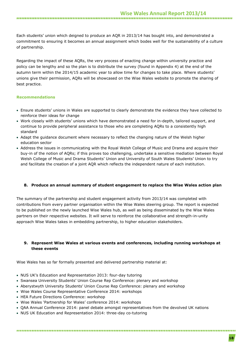Each students' union which deigned to produce an AQR in 2013/14 has bought into, and demonstrated a commitment to ensuring it becomes an annual assignment which bodes well for the sustainability of a culture of partnership.

Regarding the impact of these AQRs, the very process of enacting change within university practice and policy can be lengthy and so the plan is to distribute the survey (found in Appendix 4) at the end of the autumn term within the 2014/15 academic year to allow time for changes to take place. Where students' unions give their permission, AQRs will be showcased on the Wise Wales website to promote the sharing of best practice.

### **Recommendations**

- Ensure students' unions in Wales are supported to clearly demonstrate the evidence they have collected to reinforce their ideas for change
- Work closely with students' unions which have demonstrated a need for in-depth, tailored support, and continue to provide peripheral assistance to those who are completing AQRs to a consistently high standard
- Adapt the guidance document where necessary to reflect the changing nature of the Welsh higher education sector
- Address the issues in communicating with the Royal Welsh College of Music and Drama and acquire their buy-in of the notion of AQRs; if this proves too challenging, undertake a sensitive mediation between Royal Welsh College of Music and Drama Students' Union and University of South Wales Students' Union to try and facilitate the creation of a joint AQR which reflects the independent nature of each institution.

### **8. Produce an annual summary of student engagement to replace the Wise Wales action plan**

The summary of the partnership and student engagement activity from 2013/14 was completed with contributions from every partner organisation within the Wise Wales steering group. The report is expected to be published on the newly launched Wise Wales hub, as well as being disseminated by the Wise Wales partners on their respective websites. It will serve to reinforce the collaborative and strength-in-unity approach Wise Wales takes in embedding partnership, to higher education stakeholders.

### **9. Represent Wise Wales at various events and conferences, including running workshops at these events**

Wise Wales has so far formally presented and delivered partnership material at:

- NUS UK's Education and Representation 2013: four-day tutoring
- Swansea University Students' Union Course Rep Conference: plenary and workshop
- Aberystwyth University Students' Union Course Rep Conference: plenary and workshop
- Wise Wales Course Representative Conference 2014: workshops
- HEA Future Directions Conference: workshop
- Wise Wales 'Partnership for Wales' conference 2014: workshops
- QAA Annual Conference 2014: panel debate amongst representatives from the devolved UK nations

• NUS UK Education and Representation 2014: three-day co-tutoring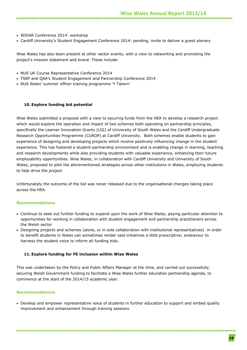- WIDAR Conference 2014: workshop
- Cardiff University's Student Engagement Conference 2014: pending, invite to deliver a guest plenary

Wise Wales has also been present at other sector events, with a view to networking and promoting the project's mission statement and brand. These include:

- NUS UK Course Representative Conference 2014
- TSEP and QAA's Student Engagement and Partnership Conference 2014
- NUS Wales' summer officer training programme 'Y Talwrn'

#### **10. Explore funding bid potential**

Wise Wales submitted a proposal with a view to securing funds from the HEA to develop a research project which would explore the operation and impact of two schemes both operating on partnership principles, specifically the Learner Innovation Grants (LIG) of University of South Wales and the Cardiff Undergraduate Research Opportunities Programme (CUROP) at Cardiff University. Both schemes enable students to gain experience of designing and developing projects which involve positively influencing change in the student experience. This has fostered a student-partnership environment and is enabling change in learning, teaching and research developments while also providing students with valuable experience, enhancing their future employability opportunities. Wise Wales, in collaboration with Cardiff University and University of South Wales, proposed to pilot the aforementioned strategies across other institutions in Wales, employing students to help drive the project.

Unfortunately the outcome of the bid was never released due to the organisational changes taking place across the HEA.

### **Recommendations**

- Continue to seek out further funding to expand upon the work of Wise Wales, paying particular attention to opportunities for working in collaboration with student engagement and partnership practitioners across the Welsh sector
- Designing projects and schemes (alone, or in sole collaboration with institutional representatives) in order to benefit students in Wales can sometimes render said initiatives a little prescriptive; endeavour to harness the student voice to inform all funding bids.

#### **11. Explore funding for FE inclusion within Wise Wales**

This was undertaken by the Policy and Public Affairs Manager at the time, and carried out successfully, securing Welsh Government funding to facilitate a Wise Wales further education partnership agenda, to commence at the start of the 2014/15 academic year.

#### **Recommendations**

 Develop and empower representative voice of students in further education to support and embed quality improvement and enhancement through training sessions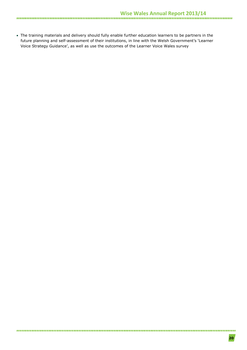The training materials and delivery should fully enable further education learners to be partners in the future planning and self-assessment of their institutions, in line with the Welsh Government's 'Learner Voice Strategy Guidance', as well as use the outcomes of the Learner Voice Wales survey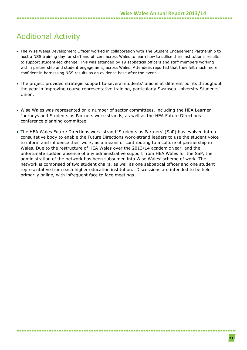## Additional Activity

- The Wise Wales Development Officer worked in collaboration with The Student Engagement Partnership to host a NSS training day for staff and officers across Wales to learn how to utilise their institution's results to support student-led change. This was attended by 19 sabbatical officers and staff members working within partnership and student engagement, across Wales. Attendees reported that they felt much more confident in harnessing NSS results as an evidence base after the event.
- The project provided strategic support to several students' unions at different points throughout the year in improving course representative training, particularly Swansea University Students' Union.
- Wise Wales was represented on a number of sector committees, including the HEA Learner Journeys and Students as Partners work-strands, as well as the HEA Future Directions conference planning committee.
- The HEA Wales Future Directions work-strand 'Students as Partners' (SaP) has evolved into a consultative body to enable the Future Directions work-strand leaders to use the student voice to inform and influence their work, as a means of contributing to a culture of partnership in Wales. Due to the restructure of HEA Wales over the 2013/14 academic year, and the unfortunate sudden absence of any administrative support from HEA Wales for the SaP, the administration of the network has been subsumed into Wise Wales' scheme of work. The network is comprised of two student chairs, as well as one sabbatical officer and one student representative from each higher education institution. Discussions are intended to be held primarily online, with infrequent face to face meetings.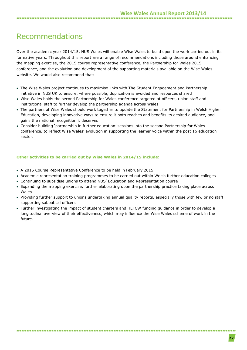### Recommendations

Over the academic year 2014/15, NUS Wales will enable Wise Wales to build upon the work carried out in its formative years. Throughout this report are a range of recommendations including those around enhancing the mapping exercise, the 2015 course representative conference, the Partnership for Wales 2015 conference, and the evolution and development of the supporting materials available on the Wise Wales website. We would also recommend that:

- The Wise Wales project continues to maximise links with The Student Engagement and Partnership initiative in NUS UK to ensure, where possible, duplication is avoided and resources shared
- Wise Wales holds the second Partnership for Wales conference targeted at officers, union staff and institutional staff to further develop the partnership agenda across Wales
- The partners of Wise Wales should work together to update the Statement for Partnership in Welsh Higher Education, developing innovative ways to ensure it both reaches and benefits its desired audience, and gains the national recognition it deserves
- Consider building 'partnership in further education' sessions into the second Partnership for Wales conference, to reflect Wise Wales' evolution in supporting the learner voice within the post 16 education sector.

### **Other activities to be carried out by Wise Wales in 2014/15 include:**

- A 2015 Course Representative Conference to be held in February 2015
- Academic representation training programmes to be carried out within Welsh further education colleges
- Continuing to subsidise unions to attend NUS' Education and Representation course
- Expanding the mapping exercise, further elaborating upon the partnership practice taking place across Wales
- Providing further support to unions undertaking annual quality reports, especially those with few or no staff supporting sabbatical officers

 Further investigating the impact of student charters and HEFCW funding guidance in order to develop a longitudinal overview of their effectiveness, which may influence the Wise Wales scheme of work in the future.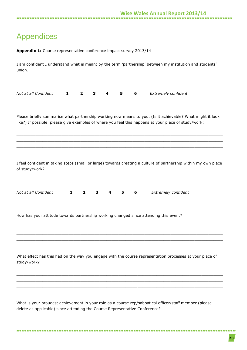# Appendices

| Appendix 1: Course representative conference impact survey 2013/14                                                                                                                                                |                              |        |   |                                                                                                                 |  |  |  |
|-------------------------------------------------------------------------------------------------------------------------------------------------------------------------------------------------------------------|------------------------------|--------|---|-----------------------------------------------------------------------------------------------------------------|--|--|--|
| union.                                                                                                                                                                                                            |                              |        |   | I am confident I understand what is meant by the term 'partnership' between my institution and students'        |  |  |  |
| Not at all Confident<br>1                                                                                                                                                                                         | $\overline{2}$<br>3          | 4<br>5 | 6 | Extremely confident                                                                                             |  |  |  |
| Please briefly summarise what partnership working now means to you. (Is it achievable? What might it look<br>like?) If possible, please give examples of where you feel this happens at your place of study/work: |                              |        |   |                                                                                                                 |  |  |  |
| of study/work?                                                                                                                                                                                                    |                              |        |   | I feel confident in taking steps (small or large) towards creating a culture of partnership within my own place |  |  |  |
| Not at all Confident<br>1                                                                                                                                                                                         | 3<br>$\overline{\mathbf{2}}$ | 4<br>5 | 6 | Extremely confident                                                                                             |  |  |  |
| How has your attitude towards partnership working changed since attending this event?                                                                                                                             |                              |        |   |                                                                                                                 |  |  |  |
| study/work?                                                                                                                                                                                                       |                              |        |   | What effect has this had on the way you engage with the course representation processes at your place of        |  |  |  |
| delete as applicable) since attending the Course Representative Conference?                                                                                                                                       |                              |        |   | What is your proudest achievement in your role as a course rep/sabbatical officer/staff member (please          |  |  |  |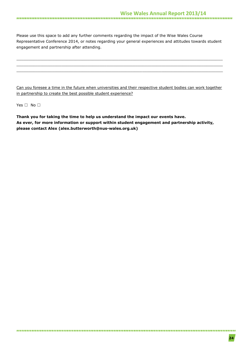Please use this space to add any further comments regarding the impact of the Wise Wales Course Representative Conference 2014, or notes regarding your general experiences and attitudes towards student engagement and partnership after attending.

 $\_$  , and the set of the set of the set of the set of the set of the set of the set of the set of the set of the set of the set of the set of the set of the set of the set of the set of the set of the set of the set of th \_\_\_\_\_\_\_\_\_\_\_\_\_\_\_\_\_\_\_\_\_\_\_\_\_\_\_\_\_\_\_\_\_\_\_\_\_\_\_\_\_\_\_\_\_\_\_\_\_\_\_\_\_\_\_\_\_\_\_\_\_\_\_\_\_\_\_\_\_\_\_\_\_\_\_\_\_\_\_\_\_\_\_\_\_\_\_ \_\_\_\_\_\_\_\_\_\_\_\_\_\_\_\_\_\_\_\_\_\_\_\_\_\_\_\_\_\_\_\_\_\_\_\_\_\_\_\_\_\_\_\_\_\_\_\_\_\_\_\_\_\_\_\_\_\_\_\_\_\_\_\_\_\_\_\_\_\_\_\_\_\_\_\_\_\_\_\_\_\_\_\_\_\_\_

Can you foresee a time in the future when universities and their respective student bodies can work together in partnership to create the best possible student experience?

Yes □ No □

**Thank you for taking the time to help us understand the impact our events have. As ever, for more information or support within student engagement and partnership activity, please contact Alex [\(alex.butterworth@nus-wales.org.uk\)](mailto:alex.butterworth@nus-wales.org.uk)**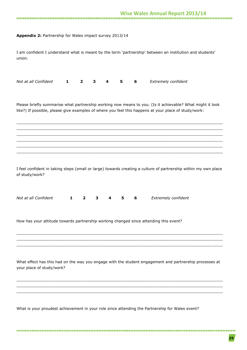### **Appendix 2:** Partnership for Wales impact survey 2013/14

I am confident I understand what is meant by the term 'partnership' between an institution and students' union.

| Not at all Confident <b>1</b> 2 3 4 5 6 Extremely confident |  |  |  |  |
|-------------------------------------------------------------|--|--|--|--|
|-------------------------------------------------------------|--|--|--|--|

Please briefly summarise what partnership working now means to you. (Is it achievable? What might it look like?) If possible, please give examples of where you feel this happens at your place of study/work:

\_\_\_\_\_\_\_\_\_\_\_\_\_\_\_\_\_\_\_\_\_\_\_\_\_\_\_\_\_\_\_\_\_\_\_\_\_\_\_\_\_\_\_\_\_\_\_\_\_\_\_\_\_\_\_\_\_\_\_\_\_\_\_\_\_\_\_\_\_\_\_\_\_\_\_\_\_\_\_\_\_\_\_\_\_\_\_  $\_$  , and the set of the set of the set of the set of the set of the set of the set of the set of the set of the set of the set of the set of the set of the set of the set of the set of the set of the set of the set of th \_\_\_\_\_\_\_\_\_\_\_\_\_\_\_\_\_\_\_\_\_\_\_\_\_\_\_\_\_\_\_\_\_\_\_\_\_\_\_\_\_\_\_\_\_\_\_\_\_\_\_\_\_\_\_\_\_\_\_\_\_\_\_\_\_\_\_\_\_\_\_\_\_\_\_\_\_\_\_\_\_\_\_\_\_\_\_ \_\_\_\_\_\_\_\_\_\_\_\_\_\_\_\_\_\_\_\_\_\_\_\_\_\_\_\_\_\_\_\_\_\_\_\_\_\_\_\_\_\_\_\_\_\_\_\_\_\_\_\_\_\_\_\_\_\_\_\_\_\_\_\_\_\_\_\_\_\_\_\_\_\_\_\_\_\_\_\_\_\_\_\_\_\_\_  $\_$  , and the set of the set of the set of the set of the set of the set of the set of the set of the set of the set of the set of the set of the set of the set of the set of the set of the set of the set of the set of th \_\_\_\_\_\_\_\_\_\_\_\_\_\_\_\_\_\_\_\_\_\_\_\_\_\_\_\_\_\_\_\_\_\_\_\_\_\_\_\_\_\_\_\_\_\_\_\_\_\_\_\_\_\_\_\_\_\_\_\_\_\_\_\_\_\_\_\_\_\_\_\_\_\_\_\_\_\_\_\_\_\_\_\_\_\_\_

I feel confident in taking steps (small or large) towards creating a culture of partnership within my own place of study/work?

| Not at all Confident |  |  |  | 1 2 3 4 5 6 Extremely confident |
|----------------------|--|--|--|---------------------------------|
|                      |  |  |  |                                 |

How has your attitude towards partnership working changed since attending this event?

What effect has this had on the way you engage with the student engagement and partnership processes at your place of study/work?

\_\_\_\_\_\_\_\_\_\_\_\_\_\_\_\_\_\_\_\_\_\_\_\_\_\_\_\_\_\_\_\_\_\_\_\_\_\_\_\_\_\_\_\_\_\_\_\_\_\_\_\_\_\_\_\_\_\_\_\_\_\_\_\_\_\_\_\_\_\_\_\_\_\_\_\_\_\_\_\_\_\_\_\_\_\_\_ \_\_\_\_\_\_\_\_\_\_\_\_\_\_\_\_\_\_\_\_\_\_\_\_\_\_\_\_\_\_\_\_\_\_\_\_\_\_\_\_\_\_\_\_\_\_\_\_\_\_\_\_\_\_\_\_\_\_\_\_\_\_\_\_\_\_\_\_\_\_\_\_\_\_\_\_\_\_\_\_\_\_\_\_\_\_\_  $\_$  , and the set of the set of the set of the set of the set of the set of the set of the set of the set of the set of the set of the set of the set of the set of the set of the set of the set of the set of the set of th

\_\_\_\_\_\_\_\_\_\_\_\_\_\_\_\_\_\_\_\_\_\_\_\_\_\_\_\_\_\_\_\_\_\_\_\_\_\_\_\_\_\_\_\_\_\_\_\_\_\_\_\_\_\_\_\_\_\_\_\_\_\_\_\_\_\_\_\_\_\_\_\_\_\_\_\_\_\_\_\_\_\_\_\_\_\_\_ \_\_\_\_\_\_\_\_\_\_\_\_\_\_\_\_\_\_\_\_\_\_\_\_\_\_\_\_\_\_\_\_\_\_\_\_\_\_\_\_\_\_\_\_\_\_\_\_\_\_\_\_\_\_\_\_\_\_\_\_\_\_\_\_\_\_\_\_\_\_\_\_\_\_\_\_\_\_\_\_\_\_\_\_\_\_\_  $\_$  , and the set of the set of the set of the set of the set of the set of the set of the set of the set of the set of the set of the set of the set of the set of the set of the set of the set of the set of the set of th

What is your proudest achievement in your role since attending the Partnership for Wales event?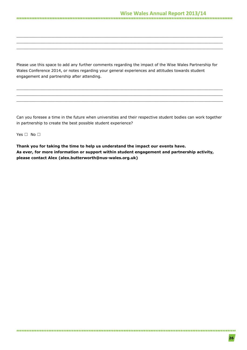Please use this space to add any further comments regarding the impact of the Wise Wales Partnership for Wales Conference 2014, or notes regarding your general experiences and attitudes towards student engagement and partnership after attending.

\_\_\_\_\_\_\_\_\_\_\_\_\_\_\_\_\_\_\_\_\_\_\_\_\_\_\_\_\_\_\_\_\_\_\_\_\_\_\_\_\_\_\_\_\_\_\_\_\_\_\_\_\_\_\_\_\_\_\_\_\_\_\_\_\_\_\_\_\_\_\_\_\_\_\_\_\_\_\_\_\_\_\_\_\_\_\_ \_\_\_\_\_\_\_\_\_\_\_\_\_\_\_\_\_\_\_\_\_\_\_\_\_\_\_\_\_\_\_\_\_\_\_\_\_\_\_\_\_\_\_\_\_\_\_\_\_\_\_\_\_\_\_\_\_\_\_\_\_\_\_\_\_\_\_\_\_\_\_\_\_\_\_\_\_\_\_\_\_\_\_\_\_\_\_  $\_$  , and the set of the set of the set of the set of the set of the set of the set of the set of the set of the set of the set of the set of the set of the set of the set of the set of the set of the set of the set of th

\_\_\_\_\_\_\_\_\_\_\_\_\_\_\_\_\_\_\_\_\_\_\_\_\_\_\_\_\_\_\_\_\_\_\_\_\_\_\_\_\_\_\_\_\_\_\_\_\_\_\_\_\_\_\_\_\_\_\_\_\_\_\_\_\_\_\_\_\_\_\_\_\_\_\_\_\_\_\_\_\_\_\_\_\_\_\_ \_\_\_\_\_\_\_\_\_\_\_\_\_\_\_\_\_\_\_\_\_\_\_\_\_\_\_\_\_\_\_\_\_\_\_\_\_\_\_\_\_\_\_\_\_\_\_\_\_\_\_\_\_\_\_\_\_\_\_\_\_\_\_\_\_\_\_\_\_\_\_\_\_\_\_\_\_\_\_\_\_\_\_\_\_\_\_ \_\_\_\_\_\_\_\_\_\_\_\_\_\_\_\_\_\_\_\_\_\_\_\_\_\_\_\_\_\_\_\_\_\_\_\_\_\_\_\_\_\_\_\_\_\_\_\_\_\_\_\_\_\_\_\_\_\_\_\_\_\_\_\_\_\_\_\_\_\_\_\_\_\_\_\_\_\_\_\_\_\_\_\_\_\_\_

Can you foresee a time in the future when universities and their respective student bodies can work together in partnership to create the best possible student experience?

Yes □ No □

**Thank you for taking the time to help us understand the impact our events have. As ever, for more information or support within student engagement and partnership activity, please contact Alex [\(alex.butterworth@nus-wales.org.uk\)](mailto:alex.butterworth@nus-wales.org.uk)**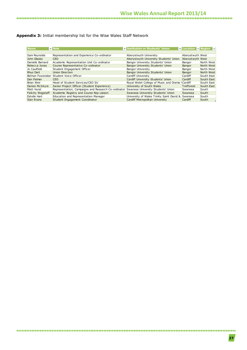### **Appendix 3:** Initial membership list for the Wise Wales Staff Network

| <b>Name</b>         | $\blacksquare$ Role                                 | Institution or Students' Union                    | <b>V</b> Location <b>V</b> Region <b>V</b> |            |
|---------------------|-----------------------------------------------------|---------------------------------------------------|--------------------------------------------|------------|
|                     |                                                     |                                                   |                                            |            |
| Sam Reynolds        | Representation and Experience Co-ordinator          | Aberystwyth University                            | Aberystwyth West                           |            |
| John Glasby         | <b>CEO</b>                                          | Aberystwyth University Students' Union            | Aberystwyth West                           |            |
| Danielle Barnard    | Academic Representation Unit Co-ordinator           | Bangor University Students' Union                 | Bangor                                     | North West |
| Rebecca Jones       | Course Representative Co-ordinator                  | Bangor University Students' Union                 | Bangor                                     | North West |
| Jo Caulfield        | Student Engagement Officer                          | Bangor University                                 | Bangor                                     | North West |
| Rhys Dart           | Union Direction                                     | Bangor University Students' Union                 | Bangor                                     | North West |
|                     | Bethan Foweraker Student Voice Officer              | Cardiff University                                | Cardiff                                    | South East |
| Dan Palmer          | CEO                                                 | Cardiff University Students' Union                | Cardiff                                    | South East |
| Brian Weir          | Head of Student Services/CEO SU                     | Royal Welsh College of Music and Drama (Cardiff   |                                            | South East |
| Denize McIntyre     | Senior Project Officer (Student Experience)         | University of South Wales                         | Trefforest                                 | South East |
| Matt Hurst          | Representation, Campaigns and Research Co-ordinator | Swansea University Students' Union                | Swansea                                    | South      |
| Felicity Wagstaff   | Academic Registry and Course Rep Liaison            | Swansea University Students' Union                | Swansea                                    | South      |
| <b>Estelle Hart</b> | Education and Representation Manager                | University of Wales Trinity Saint David & Swansea |                                            | South      |
| Sian Evans          | Student Engagement Coordinator                      | Cardiff Metropolitan University                   | Cardiff                                    | South      |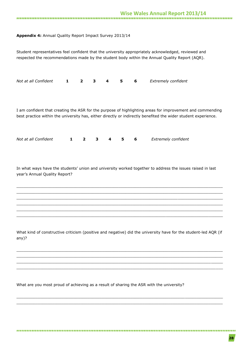### **Appendix 4:** Annual Quality Report Impact Survey 2013/14

| Student representatives feel confident that the university appropriately acknowledged, reviewed and<br>respected the recommendations made by the student body within the Annual Quality Report (AQR).                       |   |                |   |   |   |   |                            |
|-----------------------------------------------------------------------------------------------------------------------------------------------------------------------------------------------------------------------------|---|----------------|---|---|---|---|----------------------------|
| Not at all Confident                                                                                                                                                                                                        | 1 | $\overline{2}$ | 3 | 4 | 5 | 6 | Extremely confident        |
| I am confident that creating the ASR for the purpose of highlighting areas for improvement and commending<br>best practice within the university has, either directly or indirectly benefited the wider student experience. |   |                |   |   |   |   |                            |
| Not at all Confident                                                                                                                                                                                                        | 1 | $\overline{2}$ | 3 | 4 | 5 | 6 | <b>Extremely confident</b> |
| In what ways have the students' union and university worked together to address the issues raised in last<br>year's Annual Quality Report?                                                                                  |   |                |   |   |   |   |                            |

What kind of constructive criticism (positive and negative) did the university have for the student-led AQR (if any)?

\_\_\_\_\_\_\_\_\_\_\_\_\_\_\_\_\_\_\_\_\_\_\_\_\_\_\_\_\_\_\_\_\_\_\_\_\_\_\_\_\_\_\_\_\_\_\_\_\_\_\_\_\_\_\_\_\_\_\_\_\_\_\_\_\_\_\_\_\_\_\_\_\_\_\_\_\_\_\_\_\_\_\_\_\_\_\_  $\_$  , and the set of the set of the set of the set of the set of the set of the set of the set of the set of the set of the set of the set of the set of the set of the set of the set of the set of the set of the set of th \_\_\_\_\_\_\_\_\_\_\_\_\_\_\_\_\_\_\_\_\_\_\_\_\_\_\_\_\_\_\_\_\_\_\_\_\_\_\_\_\_\_\_\_\_\_\_\_\_\_\_\_\_\_\_\_\_\_\_\_\_\_\_\_\_\_\_\_\_\_\_\_\_\_\_\_\_\_\_\_\_\_\_\_\_\_\_ \_\_\_\_\_\_\_\_\_\_\_\_\_\_\_\_\_\_\_\_\_\_\_\_\_\_\_\_\_\_\_\_\_\_\_\_\_\_\_\_\_\_\_\_\_\_\_\_\_\_\_\_\_\_\_\_\_\_\_\_\_\_\_\_\_\_\_\_\_\_\_\_\_\_\_\_\_\_\_\_\_\_\_\_\_\_\_

\_\_\_\_\_\_\_\_\_\_\_\_\_\_\_\_\_\_\_\_\_\_\_\_\_\_\_\_\_\_\_\_\_\_\_\_\_\_\_\_\_\_\_\_\_\_\_\_\_\_\_\_\_\_\_\_\_\_\_\_\_\_\_\_\_\_\_\_\_\_\_\_\_\_\_\_\_\_\_\_\_\_\_\_\_\_\_  $\_$  , and the set of the set of the set of the set of the set of the set of the set of the set of the set of the set of the set of the set of the set of the set of the set of the set of the set of the set of the set of th

 $\_$  , and the set of the set of the set of the set of the set of the set of the set of the set of the set of the set of the set of the set of the set of the set of the set of the set of the set of the set of the set of th  $\_$  , and the set of the set of the set of the set of the set of the set of the set of the set of the set of the set of the set of the set of the set of the set of the set of the set of the set of the set of the set of th \_\_\_\_\_\_\_\_\_\_\_\_\_\_\_\_\_\_\_\_\_\_\_\_\_\_\_\_\_\_\_\_\_\_\_\_\_\_\_\_\_\_\_\_\_\_\_\_\_\_\_\_\_\_\_\_\_\_\_\_\_\_\_\_\_\_\_\_\_\_\_\_\_\_\_\_\_\_\_\_\_\_\_\_\_\_\_  $\_$  , and the set of the set of the set of the set of the set of the set of the set of the set of the set of the set of the set of the set of the set of the set of the set of the set of the set of the set of the set of th  $\_$  , and the set of the set of the set of the set of the set of the set of the set of the set of the set of the set of the set of the set of the set of the set of the set of the set of the set of the set of the set of th \_\_\_\_\_\_\_\_\_\_\_\_\_\_\_\_\_\_\_\_\_\_\_\_\_\_\_\_\_\_\_\_\_\_\_\_\_\_\_\_\_\_\_\_\_\_\_\_\_\_\_\_\_\_\_\_\_\_\_\_\_\_\_\_\_\_\_\_\_\_\_\_\_\_\_\_\_\_\_\_\_\_\_\_\_\_\_

What are you most proud of achieving as a result of sharing the ASR with the university?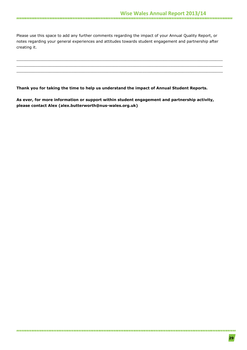Please use this space to add any further comments regarding the impact of your Annual Quality Report, or notes regarding your general experiences and attitudes towards student engagement and partnership after creating it.

\_\_\_\_\_\_\_\_\_\_\_\_\_\_\_\_\_\_\_\_\_\_\_\_\_\_\_\_\_\_\_\_\_\_\_\_\_\_\_\_\_\_\_\_\_\_\_\_\_\_\_\_\_\_\_\_\_\_\_\_\_\_\_\_\_\_\_\_\_\_\_\_\_\_\_\_\_\_\_\_\_\_\_\_\_\_\_  $\_$  , and the set of the set of the set of the set of the set of the set of the set of the set of the set of the set of the set of the set of the set of the set of the set of the set of the set of the set of the set of th \_\_\_\_\_\_\_\_\_\_\_\_\_\_\_\_\_\_\_\_\_\_\_\_\_\_\_\_\_\_\_\_\_\_\_\_\_\_\_\_\_\_\_\_\_\_\_\_\_\_\_\_\_\_\_\_\_\_\_\_\_\_\_\_\_\_\_\_\_\_\_\_\_\_\_\_\_\_\_\_\_\_\_\_\_\_\_

**Thank you for taking the time to help us understand the impact of Annual Student Reports.**

**As ever, for more information or support within student engagement and partnership activity, please contact Alex [\(alex.butterworth@nus-wales.org.uk\)](mailto:alex.butterworth@nus-wales.org.uk)**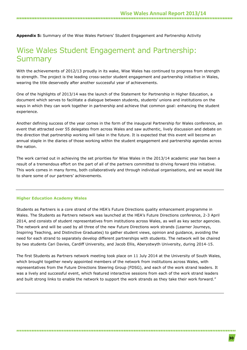**Appendix 5:** Summary of the Wise Wales Partners' Student Engagement and Partnership Activity

### Wise Wales Student Engagement and Partnership: **Summary**

With the achievements of 2012/13 proudly in its wake, Wise Wales has continued to progress from strength to strength. The project is the leading cross-sector student engagement and partnership initiative in Wales, wearing the title deservedly after another successful year of achievements.

One of the highlights of 2013/14 was the launch of the Statement for Partnership in Higher Education, a document which serves to facilitate a dialogue between students, students' unions and institutions on the ways in which they can work together in partnership and achieve that common goal: enhancing the student experience.

Another defining success of the year comes in the form of the inaugural Partnership for Wales conference, an event that attracted over 55 delegates from across Wales and saw authentic, lively discussion and debate on the direction that partnership working will take in the future. It is expected that this event will become an annual staple in the diaries of those working within the student engagement and partnership agendas across the nation.

The work carried out in achieving the set priorities for Wise Wales in the 2013/14 academic year has been a result of a tremendous effort on the part of all of the partners committed to driving forward this initiative. This work comes in many forms, both collaboratively and through individual organisations, and we would like to share some of our partners' achievements.

#### **Higher Education Academy Wales**

Students as Partners is a core strand of the HEA's Future Directions quality enhancement programme in Wales. The Students as Partners network was launched at the HEA's Future Directions conference, 2-3 April 2014, and consists of student representatives from institutions across Wales, as well as key sector agencies. The network and will be used by all three of the new Future Directions work strands (Learner Journeys, Inspiring Teaching, and Distinctive Graduates) to gather student views, opinion and guidance, avoiding the need for each strand to separately develop different partnerships with students. The network will be chaired by two students Cari Davies, Cardiff University, and Jacob Ellis, Aberystwyth University, during 2014-15.

The first Students as Partners network meeting took place on 11 July 2014 at the University of South Wales, which brought together newly appointed members of the network from institutions across Wales, with representatives from the Future Directions Steering Group (FDSG), and each of the work strand leaders. It was a lively and successful event, which featured interactive sessions from each of the work strand leaders and built strong links to enable the network to support the work strands as they take their work forward."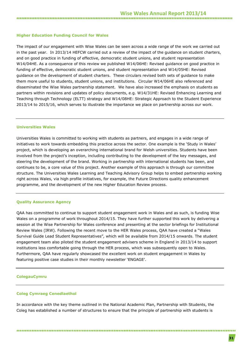### **Higher Education Funding Council for Wales**

The impact of our engagement with Wise Wales can be seen across a wide range of the work we carried out in the past year. In 2013/14 HEFCW carried out a review of the impact of the guidance on student charters, and on good practice in funding of effective, democratic student unions, and student representation W14/04HE. As a consequence of this review we published W14/06HE: Revised guidance on good practice in funding of effective, democratic student unions, and student representation and W14/05HE: Revised guidance on the development of student charters. These circulars revised both sets of guidance to make them more useful to students, student unions, and institutions. Circular W14/06HE also referenced and disseminated the Wise Wales partnership statement. We have also increased the emphasis on students as partners within revisions and updates of policy documents, e.g. W14/31HE: Revised Enhancing Learning and Teaching through Technology (ELTT) strategy and W14/08HE: Strategic Approach to the Student Experience 2013/14 to 2015/16, which serves to illustrate the importance we place on partnership across our work.

#### **Universities Wales**

Universities Wales is committed to working with students as partners, and engages in a wide range of initiatives to work towards embedding this practice across the sector. One example is the 'Study in Wales' project, which is developing an overarching international brand for Welsh universities. Students have been involved from the project's inception, including contributing to the development of the key messages, and steering the development of the brand. Working in partnership with international students has been, and continues to be, a core value of this project. Another example of this approach is through our committee structure. The Universities Wales Learning and Teaching Advisory Group helps to embed partnership working right across Wales, via high profile initiatives, for example, the Future Directions quality enhancement programme, and the development of the new Higher Education Review process.

#### **Quality Assurance Agency**

QAA has committed to continue to support student engagement work in Wales and as such, is funding Wise Wales on a programme of work throughout 2014/15. They have further supported this work by delivering a session at the Wise Partnership for Wales conference and presenting at the sector briefings for Institutional Review Wales (IRW). Following the recent move to the HER Wales process, QAA have created a "Wales Survival Guide Lead Student Representatives", which will be available from 2014/15 onwards. The student engagement team also piloted the student engagement advisers scheme in England in 2013/14 to support institutions less comfortable going through the HER process, which was subsequently open to Wales. Furthermore, QAA have regularly showcased the excellent work on student engagement in Wales by featuring positive case studies in their monthly newsletter 'ENGAGE'.

#### **ColegauCymru**

### **Coleg Cymraeg Cenedlaethol**

In accordance with the key theme outlined in the National Academic Plan, Partnership with Students, the Coleg has established a number of structures to ensure that the principle of partnership with students is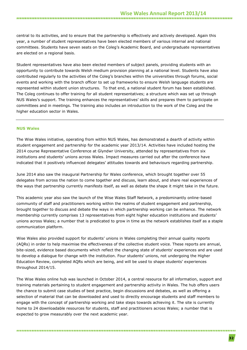central to its activities, and to ensure that the partnership is effectively and actively developed. Again this year, a number of student representatives have been elected members of various internal and national committees. Students have seven seats on the Coleg's Academic Board, and undergraduate representatives are elected on a regional basis.

Student representatives have also been elected members of subject panels, providing students with an opportunity to contribute towards Welsh medium provision planning at a national level. Students have also contributed regularly to the activities of the Coleg's branches within the universities through forums, social events and working with the branch officer to set up frameworks to ensure Welsh language students are represented within student union structures. To that end, a national student forum has been established. The Coleg continues to offer training for all student representatives; a structure which was set up through NUS Wales's support. The training enhances the representatives' skills and prepares them to participate on committees and in meetings. The training also includes an introduction to the work of the Coleg and the higher education sector in Wales.

#### **NUS Wales**

The Wise Wales initiative, operating from within NUS Wales, has demonstrated a dearth of activity within student engagement and partnership for the academic year 2013/14. Activities have included hosting the 2014 course Representative Conference at Glyndwr University, attended by representatives from six institutions and students' unions across Wales. Impact measures carried out after the conference have indicated that it positively influenced delegates' attitudes towards and behaviours regarding partnership.

June 2014 also saw the inaugural Partnership for Wales conference, which brought together over 55 delegates from across the nation to come together and discuss, learn about, and share real experiences of the ways that partnership currently manifests itself, as well as debate the shape it might take in the future.

This academic year also saw the launch of the Wise Wales Staff Network, a predominantly online-based community of staff and practitioners working within the realms of student engagement and partnership, brought together to discuss and debate the ways in which partnership working can be enhance. The network membership currently comprises 13 representatives from eight higher education institutions and students' unions across Wales; a number that is predicated to grow in time as the network establishes itself as a staple communication platform.

Wise Wales also provided support for students' unions in Wales completing their annual quality reports (AQRs) in order to help maximise the effectiveness of the collective student voice. These reports are annual, bite-sized, evidence based documents which reflect the changing state of students' experiences and are used to develop a dialogue for change with the institution. Four students' unions, not undergoing the Higher Education Review, completed AQRs which are being, and will be used to shape students' experiences throughout 2014/15.

The Wise Wales online hub was launched in October 2014, a central resource for all information, support and training materials pertaining to student engagement and partnership activity in Wales. The hub offers users the chance to submit case studies of best practice, begin discussions and debates, as well as offering a selection of material that can be downloaded and used to directly encourage students and staff members to engage with the concept of partnership working and take steps towards achieving it. The site is currently home to 24 downloadable resources for students, staff and practitioners across Wales; a number that is expected to grow measurably over the next academic year.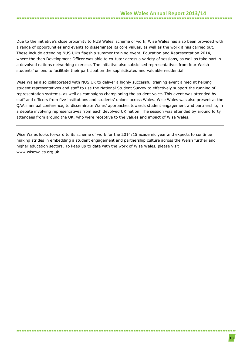### **Wise Wales Annual Report 2013/14**

Due to the initiative's close proximity to NUS Wales' scheme of work, Wise Wales has also been provided with a range of opportunities and events to disseminate its core values, as well as the work it has carried out. These include attending NUS UK's flagship summer training event, Education and Representation 2014, where the then Development Officer was able to co-tutor across a variety of sessions, as well as take part in a devolved nations networking exercise. The initiative also subsidised representatives from four Welsh students' unions to facilitate their participation the sophisticated and valuable residential.

Wise Wales also collaborated with NUS UK to deliver a highly successful training event aimed at helping student representatives and staff to use the National Student Survey to effectively support the running of representation systems, as well as campaigns championing the student voice. This event was attended by staff and officers from five institutions and students' unions across Wales. Wise Wales was also present at the QAA's annual conference, to disseminate Wales' approaches towards student engagement and partnership, in a debate involving representatives from each devolved UK nation. The session was attended by around forty attendees from around the UK, who were receptive to the values and impact of Wise Wales.

Wise Wales looks forward to its scheme of work for the 2014/15 academic year and expects to continue making strides in embedding a student engagement and partnership culture across the Welsh further and higher education sectors. To keep up to date with the work of Wise Wales, please visit [www.wisewales.org.uk.](http://www.wisewales.org.uk/)